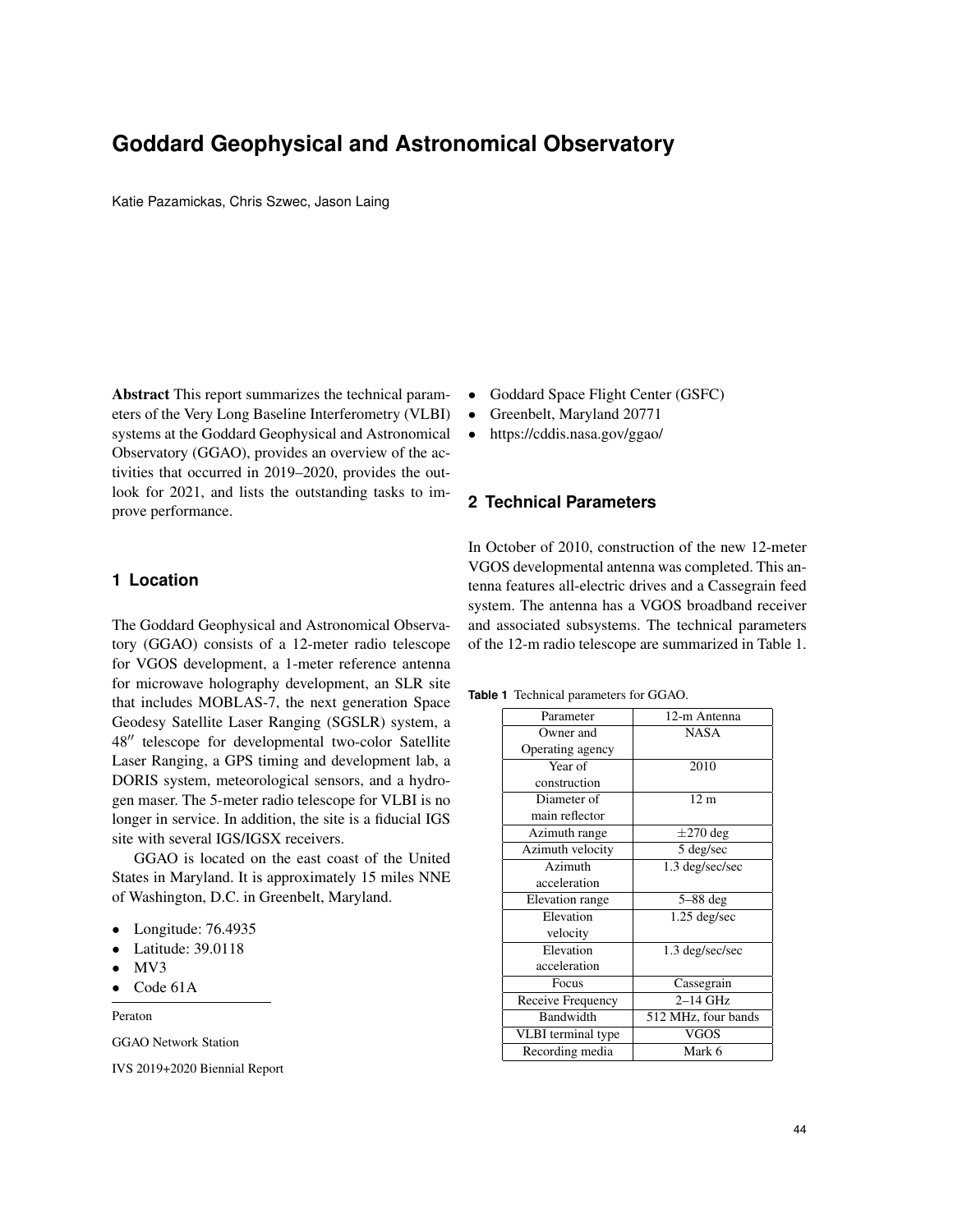# **Goddard Geophysical and Astronomical Observatory**

Katie Pazamickas, Chris Szwec, Jason Laing

Abstract This report summarizes the technical parameters of the Very Long Baseline Interferometry (VLBI) systems at the Goddard Geophysical and Astronomical Observatory (GGAO), provides an overview of the activities that occurred in 2019–2020, provides the outlook for 2021, and lists the outstanding tasks to improve performance.

## **1 Location**

The Goddard Geophysical and Astronomical Observatory (GGAO) consists of a 12-meter radio telescope for VGOS development, a 1-meter reference antenna for microwave holography development, an SLR site that includes MOBLAS-7, the next generation Space Geodesy Satellite Laser Ranging (SGSLR) system, a 48" telescope for developmental two-color Satellite Laser Ranging, a GPS timing and development lab, a DORIS system, meteorological sensors, and a hydrogen maser. The 5-meter radio telescope for VLBI is no longer in service. In addition, the site is a fiducial IGS site with several IGS/IGSX receivers.

GGAO is located on the east coast of the United States in Maryland. It is approximately 15 miles NNE of Washington, D.C. in Greenbelt, Maryland.

- Longitude: 76.4935
- Latitude: 39.0118
- MV3
- Code 61A

Peraton

GGAO Network Station

IVS 2019+2020 Biennial Report

- Goddard Space Flight Center (GSFC)
- Greenbelt, Maryland 20771
- https://cddis.nasa.gov/ggao/

## **2 Technical Parameters**

In October of 2010, construction of the new 12-meter VGOS developmental antenna was completed. This antenna features all-electric drives and a Cassegrain feed system. The antenna has a VGOS broadband receiver and associated subsystems. The technical parameters of the 12-m radio telescope are summarized in Table 1.

**Table 1** Technical parameters for GGAO.

| Parameter          | 12-m Antenna           |
|--------------------|------------------------|
| Owner and          | <b>NASA</b>            |
| Operating agency   |                        |
| Year of            | 2010                   |
| construction       |                        |
| Diameter of        | 12 <sub>m</sub>        |
| main reflector     |                        |
| Azimuth range      | $\pm 270$ deg          |
| Azimuth velocity   | 5 deg/sec              |
| Azimuth            | 1.3 deg/sec/sec        |
| acceleration       |                        |
| Elevation range    | $5 - 88$ deg           |
| Elevation          | $1.25 \text{ deg/sec}$ |
| velocity           |                        |
| Elevation          | 1.3 deg/sec/sec        |
| acceleration       |                        |
| Focus              | Cassegrain             |
| Receive Frequency  | $2-14$ GHz             |
| Bandwidth          | 512 MHz, four bands    |
| VLBI terminal type | VGOS                   |
| Recording media    | Mark 6                 |